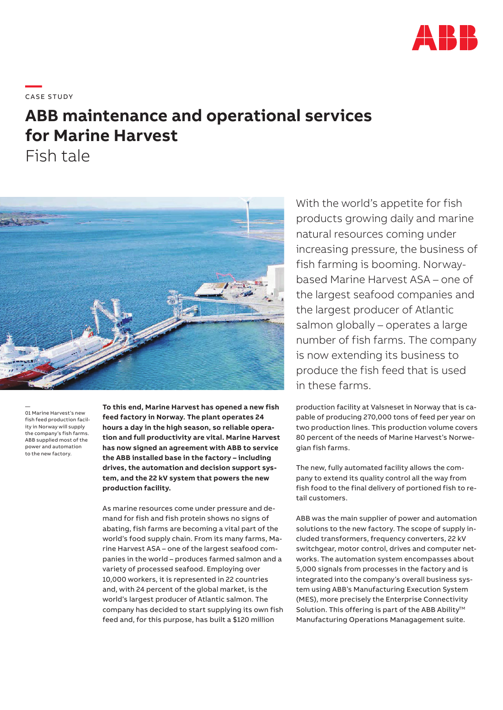

**—**  CASE STUDY

# **ABB maintenance and operational services for Marine Harvest**

Fish tale



— 01 Marine Harvest's new fish feed production facility in Norway will supply the company's fish farms. ABB supplied most of the power and automation to the new factory.

**To this end, Marine Harvest has opened a new fish feed factory in Norway. The plant operates 24 hours a day in the high season, so reliable operation and full productivity are vital. Marine Harvest has now signed an agreement with ABB to service the ABB installed base in the factory – including drives, the automation and decision support system, and the 22 kV system that powers the new production facility.**

As marine resources come under pressure and demand for fish and fish protein shows no signs of abating, fish farms are becoming a vital part of the world's food supply chain. From its many farms, Marine Harvest ASA – one of the largest seafood companies in the world – produces farmed salmon and a variety of processed seafood. Employing over 10,000 workers, it is represented in 22 countries and, with 24 percent of the global market, is the world's largest producer of Atlantic salmon. The company has decided to start supplying its own fish feed and, for this purpose, has built a \$120 million

With the world's appetite for fish products growing daily and marine natural resources coming under increasing pressure, the business of fish farming is booming. Norwaybased Marine Harvest ASA – one of the largest seafood companies and the largest producer of Atlantic salmon globally – operates a large number of fish farms. The company is now extending its business to produce the fish feed that is used in these farms.

production facility at Valsneset in Norway that is capable of producing 270,000 tons of feed per year on two production lines. This production volume covers 80 percent of the needs of Marine Harvest's Norwegian fish farms.

The new, fully automated facility allows the company to extend its quality control all the way from fish food to the final delivery of portioned fish to retail customers.

ABB was the main supplier of power and automation solutions to the new factory. The scope of supply included transformers, frequency converters, 22 kV switchgear, motor control, drives and computer networks. The automation system encompasses about 5,000 signals from processes in the factory and is integrated into the company's overall business system using ABB's Manufacturing Execution System (MES), more precisely the Enterprise Connectivity Solution. This offering is part of the ABB Ability™ Manufacturing Operations Managagement suite.